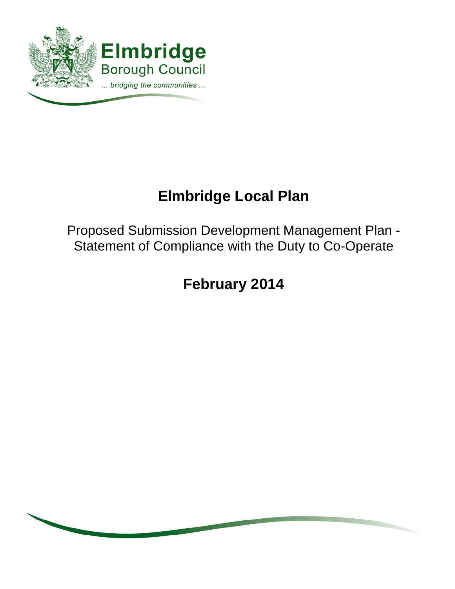

# **Elmbridge Local Plan**

Proposed Submission Development Management Plan - Statement of Compliance with the Duty to Co-Operate

**February 2014**

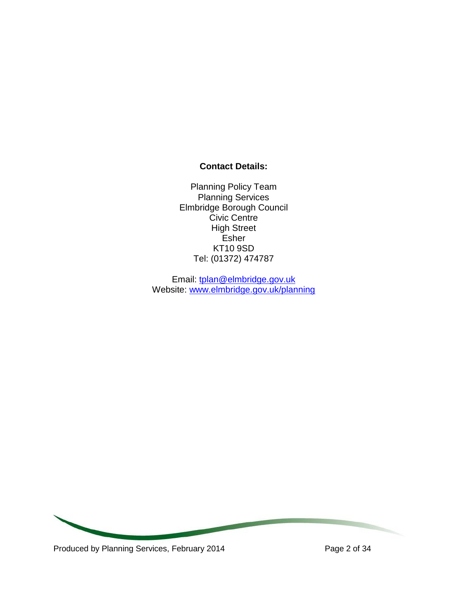# **Contact Details:**

Planning Policy Team Planning Services Elmbridge Borough Council Civic Centre High Street Esher KT10 9SD Tel: (01372) 474787

Email: [tplan@elmbridge.gov.uk](mailto:tplan@elmbridge.gov.uk) Website: [www.elmbridge.gov.uk/planning](http://www.elmbridge.gov.uk/planning)

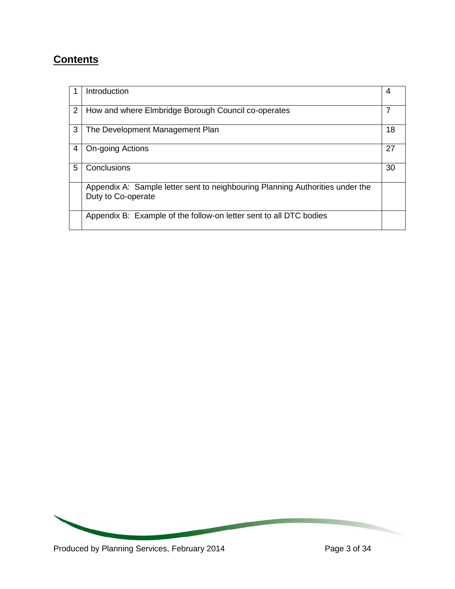# **Contents**

|   | Introduction                                                                                        | 4  |
|---|-----------------------------------------------------------------------------------------------------|----|
| 2 | How and where Elmbridge Borough Council co-operates                                                 |    |
| 3 | The Development Management Plan                                                                     | 18 |
| 4 | <b>On-going Actions</b>                                                                             | 27 |
| 5 | Conclusions                                                                                         | 30 |
|   | Appendix A: Sample letter sent to neighbouring Planning Authorities under the<br>Duty to Co-operate |    |
|   | Appendix B: Example of the follow-on letter sent to all DTC bodies                                  |    |

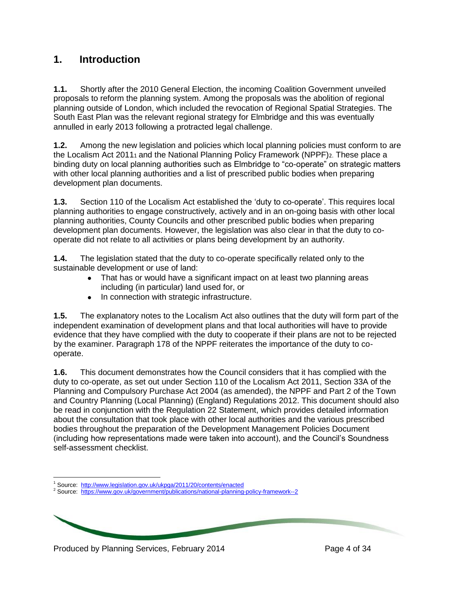# **1. Introduction**

**1.1.** Shortly after the 2010 General Election, the incoming Coalition Government unveiled proposals to reform the planning system. Among the proposals was the abolition of regional planning outside of London, which included the revocation of Regional Spatial Strategies. The South East Plan was the relevant regional strategy for Elmbridge and this was eventually annulled in early 2013 following a protracted legal challenge.

**1.2.** Among the new legislation and policies which local planning policies must conform to are the Localism Act 20111 and the National Planning Policy Framework (NPPF)2. These place a binding duty on local planning authorities such as Elmbridge to "co-operate" on strategic matters with other local planning authorities and a list of prescribed public bodies when preparing development plan documents.

**1.3.** Section 110 of the Localism Act established the 'duty to co-operate'. This requires local planning authorities to engage constructively, actively and in an on-going basis with other local planning authorities, County Councils and other prescribed public bodies when preparing development plan documents. However, the legislation was also clear in that the duty to cooperate did not relate to all activities or plans being development by an authority.

**1.4.** The legislation stated that the duty to co-operate specifically related only to the sustainable development or use of land:

- That has or would have a significant impact on at least two planning areas including (in particular) land used for, or
- In connection with strategic infrastructure.

**1.5.** The explanatory notes to the Localism Act also outlines that the duty will form part of the independent examination of development plans and that local authorities will have to provide evidence that they have complied with the duty to cooperate if their plans are not to be rejected by the examiner. Paragraph 178 of the NPPF reiterates the importance of the duty to cooperate.

**1.6.** This document demonstrates how the Council considers that it has complied with the duty to co-operate, as set out under Section 110 of the Localism Act 2011, Section 33A of the Planning and Compulsory Purchase Act 2004 (as amended), the NPPF and Part 2 of the Town and Country Planning (Local Planning) (England) Regulations 2012. This document should also be read in conjunction with the Regulation 22 Statement, which provides detailed information about the consultation that took place with other local authorities and the various prescribed bodies throughout the preparation of the Development Management Policies Document (including how representations made were taken into account), and the Council's Soundness self-assessment checklist.

Produced by Planning Services, February 2014 Produced by Page 4 of 34

 $\overline{a}$ <sup>1</sup> Source: <http://www.legislation.gov.uk/ukpga/2011/20/contents/enacted>

<sup>&</sup>lt;sup>2</sup> Source: <https://www.gov.uk/government/publications/national-planning-policy-framework--2>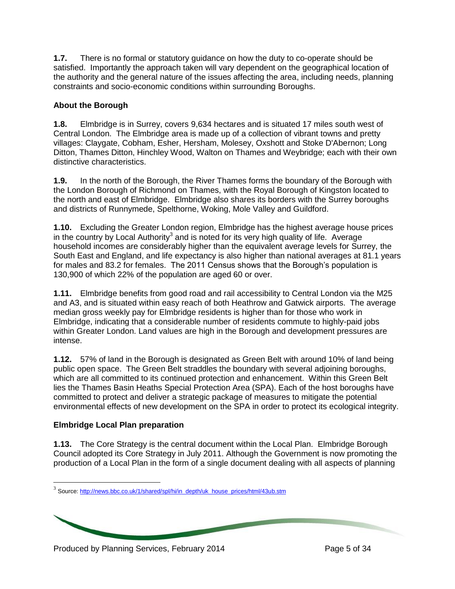**1.7.** There is no formal or statutory guidance on how the duty to co-operate should be satisfied. Importantly the approach taken will vary dependent on the geographical location of the authority and the general nature of the issues affecting the area, including needs, planning constraints and socio-economic conditions within surrounding Boroughs.

#### **About the Borough**

**1.8.** Elmbridge is in Surrey, covers 9,634 hectares and is situated 17 miles south west of Central London. The Elmbridge area is made up of a collection of vibrant towns and pretty villages: Claygate, Cobham, Esher, Hersham, Molesey, Oxshott and Stoke D'Abernon; Long Ditton, Thames Ditton, Hinchley Wood, Walton on Thames and Weybridge; each with their own distinctive characteristics.

**1.9.** In the north of the Borough, the River Thames forms the boundary of the Borough with the London Borough of Richmond on Thames, with the Royal Borough of Kingston located to the north and east of Elmbridge. Elmbridge also shares its borders with the Surrey boroughs and districts of Runnymede, Spelthorne, Woking, Mole Valley and Guildford.

**1.10.** Excluding the Greater London region, Elmbridge has the highest average house prices in the country by Local Authority<sup>3</sup> and is noted for its very high quality of life. Average household incomes are considerably higher than the equivalent average levels for Surrey, the South East and England, and life expectancy is also higher than national averages at 81.1 years for males and 83.2 for females. The 2011 Census shows that the Borough's population is 130,900 of which 22% of the population are aged 60 or over.

**1.11.** Elmbridge benefits from good road and rail accessibility to Central London via the M25 and A3, and is situated within easy reach of both Heathrow and Gatwick airports. The average median gross weekly pay for Elmbridge residents is higher than for those who work in Elmbridge, indicating that a considerable number of residents commute to highly-paid jobs within Greater London. Land values are high in the Borough and development pressures are intense.

**1.12.** 57% of land in the Borough is designated as Green Belt with around 10% of land being public open space. The Green Belt straddles the boundary with several adjoining boroughs, which are all committed to its continued protection and enhancement. Within this Green Belt lies the Thames Basin Heaths Special Protection Area (SPA). Each of the host boroughs have committed to protect and deliver a strategic package of measures to mitigate the potential environmental effects of new development on the SPA in order to protect its ecological integrity.

## **Elmbridge Local Plan preparation**

**1.13.** The Core Strategy is the central document within the Local Plan. Elmbridge Borough Council adopted its Core Strategy in July 2011. Although the Government is now promoting the production of a Local Plan in the form of a single document dealing with all aspects of planning

<sup>&</sup>lt;sup>3</sup><br>Source[: http://news.bbc.co.uk/1/shared/spl/hi/in\\_depth/uk\\_house\\_prices/html/43ub.stm](http://news.bbc.co.uk/1/shared/spl/hi/in_depth/uk_house_prices/html/43ub.stm)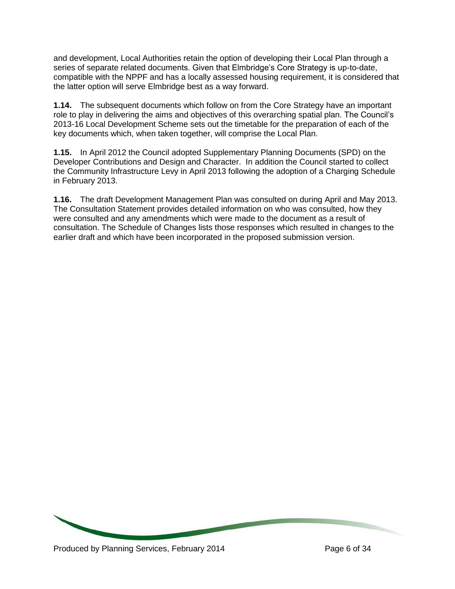and development, Local Authorities retain the option of developing their Local Plan through a series of separate related documents. Given that Elmbridge's Core Strategy is up-to-date, compatible with the NPPF and has a locally assessed housing requirement, it is considered that the latter option will serve Elmbridge best as a way forward.

**1.14.** The subsequent documents which follow on from the Core Strategy have an important role to play in delivering the aims and objectives of this overarching spatial plan. The Council's 2013-16 Local Development Scheme sets out the timetable for the preparation of each of the key documents which, when taken together, will comprise the Local Plan.

**1.15.** In April 2012 the Council adopted Supplementary Planning Documents (SPD) on the Developer Contributions and Design and Character. In addition the Council started to collect the Community Infrastructure Levy in April 2013 following the adoption of a Charging Schedule in February 2013.

**1.16.** The draft Development Management Plan was consulted on during April and May 2013. The Consultation Statement provides detailed information on who was consulted, how they were consulted and any amendments which were made to the document as a result of consultation. The Schedule of Changes lists those responses which resulted in changes to the earlier draft and which have been incorporated in the proposed submission version.

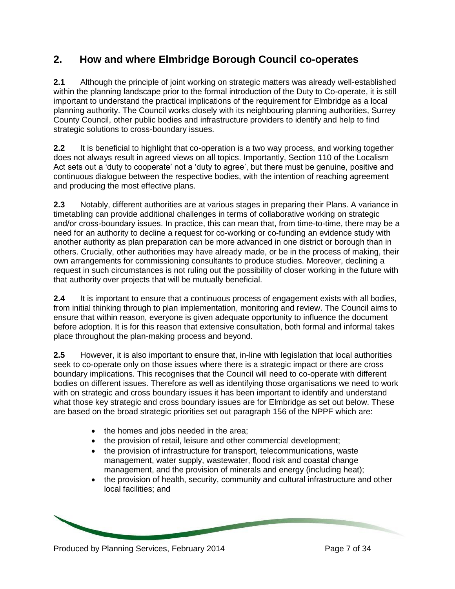# **2. How and where Elmbridge Borough Council co-operates**

**2.1** Although the principle of joint working on strategic matters was already well-established within the planning landscape prior to the formal introduction of the Duty to Co-operate, it is still important to understand the practical implications of the requirement for Elmbridge as a local planning authority. The Council works closely with its neighbouring planning authorities, Surrey County Council, other public bodies and infrastructure providers to identify and help to find strategic solutions to cross-boundary issues.

**2.2** It is beneficial to highlight that co-operation is a two way process, and working together does not always result in agreed views on all topics. Importantly, Section 110 of the Localism Act sets out a 'duty to cooperate' not a 'duty to agree', but there must be genuine, positive and continuous dialogue between the respective bodies, with the intention of reaching agreement and producing the most effective plans.

**2.3** Notably, different authorities are at various stages in preparing their Plans. A variance in timetabling can provide additional challenges in terms of collaborative working on strategic and/or cross-boundary issues. In practice, this can mean that, from time-to-time, there may be a need for an authority to decline a request for co-working or co-funding an evidence study with another authority as plan preparation can be more advanced in one district or borough than in others. Crucially, other authorities may have already made, or be in the process of making, their own arrangements for commissioning consultants to produce studies. Moreover, declining a request in such circumstances is not ruling out the possibility of closer working in the future with that authority over projects that will be mutually beneficial.

**2.4** It is important to ensure that a continuous process of engagement exists with all bodies, from initial thinking through to plan implementation, monitoring and review. The Council aims to ensure that within reason, everyone is given adequate opportunity to influence the document before adoption. It is for this reason that extensive consultation, both formal and informal takes place throughout the plan-making process and beyond.

**2.5** However, it is also important to ensure that, in-line with legislation that local authorities seek to co-operate only on those issues where there is a strategic impact or there are cross boundary implications. This recognises that the Council will need to co-operate with different bodies on different issues. Therefore as well as identifying those organisations we need to work with on strategic and cross boundary issues it has been important to identify and understand what those key strategic and cross boundary issues are for Elmbridge as set out below. These are based on the broad strategic priorities set out paragraph 156 of the NPPF which are:

- the homes and jobs needed in the area;
- the provision of retail, leisure and other commercial development;
- the provision of infrastructure for transport, telecommunications, waste management, water supply, wastewater, flood risk and coastal change management, and the provision of minerals and energy (including heat);
- the provision of health, security, community and cultural infrastructure and other local facilities; and

Produced by Planning Services, February 2014 Produced by Page 7 of 34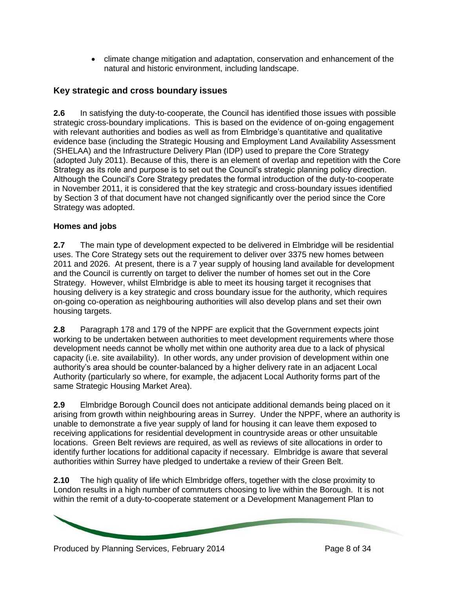climate change mitigation and adaptation, conservation and enhancement of the natural and historic environment, including landscape.

# **Key strategic and cross boundary issues**

**2.6** In satisfying the duty-to-cooperate, the Council has identified those issues with possible strategic cross-boundary implications. This is based on the evidence of on-going engagement with relevant authorities and bodies as well as from Elmbridge's quantitative and qualitative evidence base (including the Strategic Housing and Employment Land Availability Assessment (SHELAA) and the Infrastructure Delivery Plan (IDP) used to prepare the Core Strategy (adopted July 2011). Because of this, there is an element of overlap and repetition with the Core Strategy as its role and purpose is to set out the Council's strategic planning policy direction. Although the Council's Core Strategy predates the formal introduction of the duty-to-cooperate in November 2011, it is considered that the key strategic and cross-boundary issues identified by Section 3 of that document have not changed significantly over the period since the Core Strategy was adopted.

## **Homes and jobs**

**2.7** The main type of development expected to be delivered in Elmbridge will be residential uses. The Core Strategy sets out the requirement to deliver over 3375 new homes between 2011 and 2026. At present, there is a 7 year supply of housing land available for development and the Council is currently on target to deliver the number of homes set out in the Core Strategy. However, whilst Elmbridge is able to meet its housing target it recognises that housing delivery is a key strategic and cross boundary issue for the authority, which requires on-going co-operation as neighbouring authorities will also develop plans and set their own housing targets.

**2.8** Paragraph 178 and 179 of the NPPF are explicit that the Government expects joint working to be undertaken between authorities to meet development requirements where those development needs cannot be wholly met within one authority area due to a lack of physical capacity (i.e. site availability). In other words, any under provision of development within one authority's area should be counter-balanced by a higher delivery rate in an adjacent Local Authority (particularly so where, for example, the adjacent Local Authority forms part of the same Strategic Housing Market Area).

**2.9** Elmbridge Borough Council does not anticipate additional demands being placed on it arising from growth within neighbouring areas in Surrey. Under the NPPF, where an authority is unable to demonstrate a five year supply of land for housing it can leave them exposed to receiving applications for residential development in countryside areas or other unsuitable locations. Green Belt reviews are required, as well as reviews of site allocations in order to identify further locations for additional capacity if necessary. Elmbridge is aware that several authorities within Surrey have pledged to undertake a review of their Green Belt.

**2.10** The high quality of life which Elmbridge offers, together with the close proximity to London results in a high number of commuters choosing to live within the Borough. It is not within the remit of a duty-to-cooperate statement or a Development Management Plan to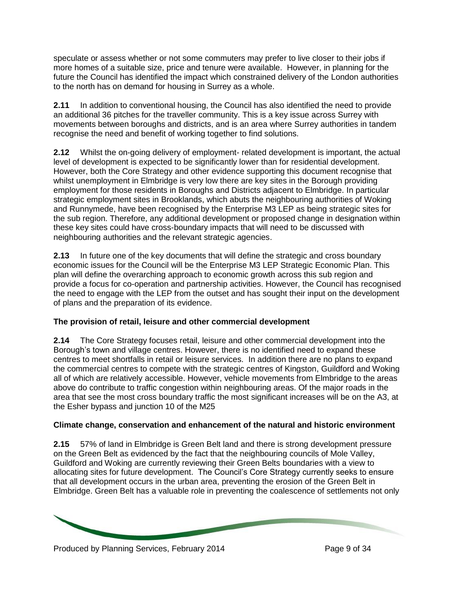speculate or assess whether or not some commuters may prefer to live closer to their jobs if more homes of a suitable size, price and tenure were available. However, in planning for the future the Council has identified the impact which constrained delivery of the London authorities to the north has on demand for housing in Surrey as a whole.

**2.11** In addition to conventional housing, the Council has also identified the need to provide an additional 36 pitches for the traveller community. This is a key issue across Surrey with movements between boroughs and districts, and is an area where Surrey authorities in tandem recognise the need and benefit of working together to find solutions.

**2.12** Whilst the on-going delivery of employment- related development is important, the actual level of development is expected to be significantly lower than for residential development. However, both the Core Strategy and other evidence supporting this document recognise that whilst unemployment in Elmbridge is very low there are key sites in the Borough providing employment for those residents in Boroughs and Districts adjacent to Elmbridge. In particular strategic employment sites in Brooklands, which abuts the neighbouring authorities of Woking and Runnymede, have been recognised by the Enterprise M3 LEP as being strategic sites for the sub region. Therefore, any additional development or proposed change in designation within these key sites could have cross-boundary impacts that will need to be discussed with neighbouring authorities and the relevant strategic agencies.

**2.13** In future one of the key documents that will define the strategic and cross boundary economic issues for the Council will be the Enterprise M3 LEP Strategic Economic Plan. This plan will define the overarching approach to economic growth across this sub region and provide a focus for co-operation and partnership activities. However, the Council has recognised the need to engage with the LEP from the outset and has sought their input on the development of plans and the preparation of its evidence.

## **The provision of retail, leisure and other commercial development**

**2.14** The Core Strategy focuses retail, leisure and other commercial development into the Borough's town and village centres. However, there is no identified need to expand these centres to meet shortfalls in retail or leisure services. In addition there are no plans to expand the commercial centres to compete with the strategic centres of Kingston, Guildford and Woking all of which are relatively accessible. However, vehicle movements from Elmbridge to the areas above do contribute to traffic congestion within neighbouring areas. Of the major roads in the area that see the most cross boundary traffic the most significant increases will be on the A3, at the Esher bypass and junction 10 of the M25

## **Climate change, conservation and enhancement of the natural and historic environment**

**2.15** 57% of land in Elmbridge is Green Belt land and there is strong development pressure on the Green Belt as evidenced by the fact that the neighbouring councils of Mole Valley, Guildford and Woking are currently reviewing their Green Belts boundaries with a view to allocating sites for future development. The Council's Core Strategy currently seeks to ensure that all development occurs in the urban area, preventing the erosion of the Green Belt in Elmbridge. Green Belt has a valuable role in preventing the coalescence of settlements not only

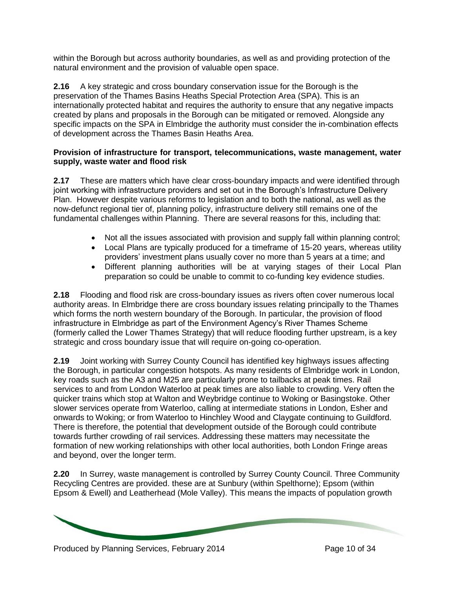within the Borough but across authority boundaries, as well as and providing protection of the natural environment and the provision of valuable open space.

**2.16** A key strategic and cross boundary conservation issue for the Borough is the preservation of the Thames Basins Heaths Special Protection Area (SPA). This is an internationally protected habitat and requires the authority to ensure that any negative impacts created by plans and proposals in the Borough can be mitigated or removed. Alongside any specific impacts on the SPA in Elmbridge the authority must consider the in-combination effects of development across the Thames Basin Heaths Area.

#### **Provision of infrastructure for transport, telecommunications, waste management, water supply, waste water and flood risk**

**2.17** These are matters which have clear cross-boundary impacts and were identified through joint working with infrastructure providers and set out in the Borough's Infrastructure Delivery Plan. However despite various reforms to legislation and to both the national, as well as the now-defunct regional tier of, planning policy, infrastructure delivery still remains one of the fundamental challenges within Planning. There are several reasons for this, including that:

- Not all the issues associated with provision and supply fall within planning control;
- Local Plans are typically produced for a timeframe of 15-20 years, whereas utility providers' investment plans usually cover no more than 5 years at a time; and
- Different planning authorities will be at varying stages of their Local Plan preparation so could be unable to commit to co-funding key evidence studies.

**2.18** Flooding and flood risk are cross-boundary issues as rivers often cover numerous local authority areas. In Elmbridge there are cross boundary issues relating principally to the Thames which forms the north western boundary of the Borough. In particular, the provision of flood infrastructure in Elmbridge as part of the Environment Agency's River Thames Scheme (formerly called the Lower Thames Strategy) that will reduce flooding further upstream, is a key strategic and cross boundary issue that will require on-going co-operation.

**2.19** Joint working with Surrey County Council has identified key highways issues affecting the Borough, in particular congestion hotspots. As many residents of Elmbridge work in London, key roads such as the A3 and M25 are particularly prone to tailbacks at peak times. Rail services to and from London Waterloo at peak times are also liable to crowding. Very often the quicker trains which stop at Walton and Weybridge continue to Woking or Basingstoke. Other slower services operate from Waterloo, calling at intermediate stations in London, Esher and onwards to Woking; or from Waterloo to Hinchley Wood and Claygate continuing to Guildford. There is therefore, the potential that development outside of the Borough could contribute towards further crowding of rail services. Addressing these matters may necessitate the formation of new working relationships with other local authorities, both London Fringe areas and beyond, over the longer term.

**2.20** In Surrey, waste management is controlled by Surrey County Council. Three Community Recycling Centres are provided. these are at Sunbury (within Spelthorne); Epsom (within Epsom & Ewell) and Leatherhead (Mole Valley). This means the impacts of population growth

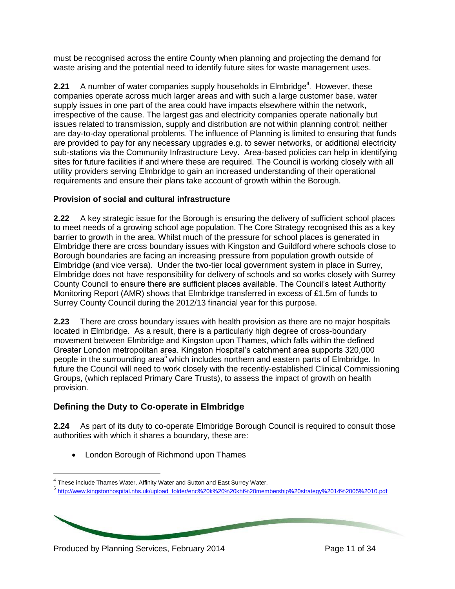must be recognised across the entire County when planning and projecting the demand for waste arising and the potential need to identify future sites for waste management uses.

**2.21** A number of water companies supply households in Elmbridge<sup>4</sup>. However, these companies operate across much larger areas and with such a large customer base, water supply issues in one part of the area could have impacts elsewhere within the network, irrespective of the cause. The largest gas and electricity companies operate nationally but issues related to transmission, supply and distribution are not within planning control; neither are day-to-day operational problems. The influence of Planning is limited to ensuring that funds are provided to pay for any necessary upgrades e.g. to sewer networks, or additional electricity sub-stations via the Community Infrastructure Levy. Area-based policies can help in identifying sites for future facilities if and where these are required. The Council is working closely with all utility providers serving Elmbridge to gain an increased understanding of their operational requirements and ensure their plans take account of growth within the Borough.

## **Provision of social and cultural infrastructure**

**2.22** A key strategic issue for the Borough is ensuring the delivery of sufficient school places to meet needs of a growing school age population. The Core Strategy recognised this as a key barrier to growth in the area. Whilst much of the pressure for school places is generated in Elmbridge there are cross boundary issues with Kingston and Guildford where schools close to Borough boundaries are facing an increasing pressure from population growth outside of Elmbridge (and vice versa). Under the two-tier local government system in place in Surrey, Elmbridge does not have responsibility for delivery of schools and so works closely with Surrey County Council to ensure there are sufficient places available. The Council's latest Authority Monitoring Report (AMR) shows that Elmbridge transferred in excess of £1.5m of funds to Surrey County Council during the 2012/13 financial year for this purpose.

**2.23** There are cross boundary issues with health provision as there are no major hospitals located in Elmbridge. As a result, there is a particularly high degree of cross-boundary movement between Elmbridge and Kingston upon Thames, which falls within the defined Greater London metropolitan area. Kingston Hospital's catchment area supports 320,000 people in the surrounding area<sup>5</sup> which includes northern and eastern parts of Elmbridge. In future the Council will need to work closely with the recently-established Clinical Commissioning Groups, (which replaced Primary Care Trusts), to assess the impact of growth on health provision.

# **Defining the Duty to Co-operate in Elmbridge**

**2.24** As part of its duty to co-operate Elmbridge Borough Council is required to consult those authorities with which it shares a boundary, these are:

• London Borough of Richmond upon Thames

<sup>5</sup> [http://www.kingstonhospital.nhs.uk/upload\\_folder/enc%20k%20%20kht%20membership%20strategy%2014%2005%2010.pdf](http://www.kingstonhospital.nhs.uk/upload_folder/enc%20k%20%20kht%20membership%20strategy%2014%2005%2010.pdf)

Produced by Planning Services, February 2014 Produced by Page 11 of 34

 $\overline{a}$ 

 $^4$  These include Thames Water, Affinity Water and Sutton and East Surrey Water.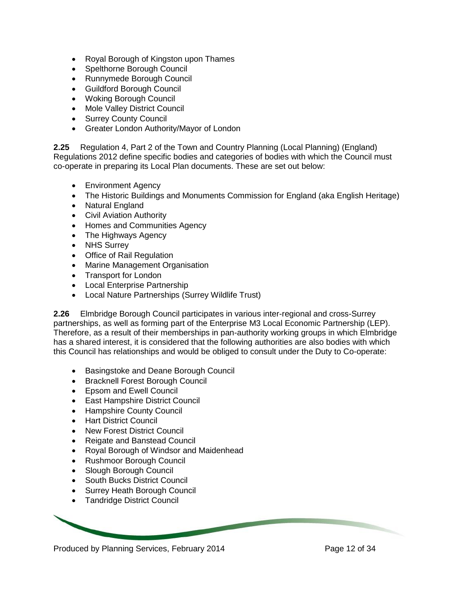- Royal Borough of Kingston upon Thames
- Spelthorne Borough Council
- Runnymede Borough Council
- Guildford Borough Council
- Woking Borough Council
- Mole Valley District Council
- Surrey County Council
- Greater London Authority/Mayor of London

**2.25** Regulation 4, Part 2 of the Town and Country Planning (Local Planning) (England) Regulations 2012 define specific bodies and categories of bodies with which the Council must co-operate in preparing its Local Plan documents. These are set out below:

- Environment Agency
- The Historic Buildings and Monuments Commission for England (aka English Heritage)
- Natural England
- Civil Aviation Authority
- Homes and Communities Agency
- The Highways Agency
- NHS Surrey
- Office of Rail Regulation
- Marine Management Organisation
- Transport for London
- Local Enterprise Partnership
- Local Nature Partnerships (Surrey Wildlife Trust)

**2.26** Elmbridge Borough Council participates in various inter-regional and cross-Surrey partnerships, as well as forming part of the Enterprise M3 Local Economic Partnership (LEP). Therefore, as a result of their memberships in pan-authority working groups in which Elmbridge has a shared interest, it is considered that the following authorities are also bodies with which this Council has relationships and would be obliged to consult under the Duty to Co-operate:

- Basingstoke and Deane Borough Council
- Bracknell Forest Borough Council
- Epsom and Ewell Council
- East Hampshire District Council
- Hampshire County Council
- Hart District Council
- New Forest District Council
- Reigate and Banstead Council
- Royal Borough of Windsor and Maidenhead
- Rushmoor Borough Council
- Slough Borough Council
- South Bucks District Council
- Surrey Heath Borough Council
- Tandridge District Council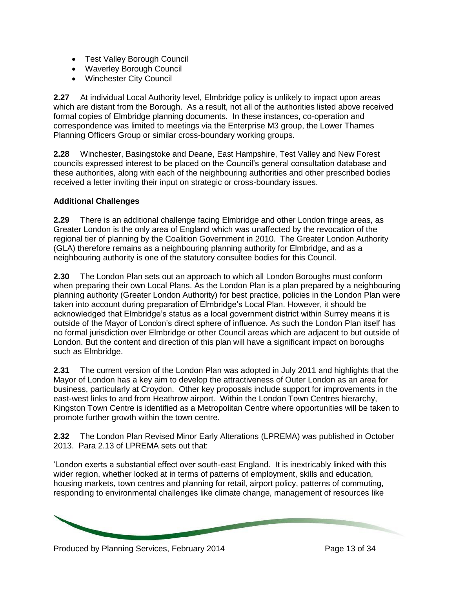- Test Valley Borough Council
- Waverley Borough Council
- Winchester City Council

**2.27** At individual Local Authority level, Elmbridge policy is unlikely to impact upon areas which are distant from the Borough. As a result, not all of the authorities listed above received formal copies of Elmbridge planning documents. In these instances, co-operation and correspondence was limited to meetings via the Enterprise M3 group, the Lower Thames Planning Officers Group or similar cross-boundary working groups.

**2.28** Winchester, Basingstoke and Deane, East Hampshire, Test Valley and New Forest councils expressed interest to be placed on the Council's general consultation database and these authorities, along with each of the neighbouring authorities and other prescribed bodies received a letter inviting their input on strategic or cross-boundary issues.

## **Additional Challenges**

**2.29** There is an additional challenge facing Elmbridge and other London fringe areas, as Greater London is the only area of England which was unaffected by the revocation of the regional tier of planning by the Coalition Government in 2010. The Greater London Authority (GLA) therefore remains as a neighbouring planning authority for Elmbridge, and as a neighbouring authority is one of the statutory consultee bodies for this Council.

**2.30** The London Plan sets out an approach to which all London Boroughs must conform when preparing their own Local Plans. As the London Plan is a plan prepared by a neighbouring planning authority (Greater London Authority) for best practice, policies in the London Plan were taken into account during preparation of Elmbridge's Local Plan. However, it should be acknowledged that Elmbridge's status as a local government district within Surrey means it is outside of the Mayor of London's direct sphere of influence. As such the London Plan itself has no formal jurisdiction over Elmbridge or other Council areas which are adjacent to but outside of London. But the content and direction of this plan will have a significant impact on boroughs such as Elmbridge.

**2.31** The current version of the London Plan was adopted in July 2011 and highlights that the Mayor of London has a key aim to develop the attractiveness of Outer London as an area for business, particularly at Croydon. Other key proposals include support for improvements in the east-west links to and from Heathrow airport. Within the London Town Centres hierarchy, Kingston Town Centre is identified as a Metropolitan Centre where opportunities will be taken to promote further growth within the town centre.

**2.32** The London Plan Revised Minor Early Alterations (LPREMA) was published in October 2013. Para 2.13 of LPREMA sets out that:

'London exerts a substantial effect over south-east England. It is inextricably linked with this wider region, whether looked at in terms of patterns of employment, skills and education, housing markets, town centres and planning for retail, airport policy, patterns of commuting, responding to environmental challenges like climate change, management of resources like

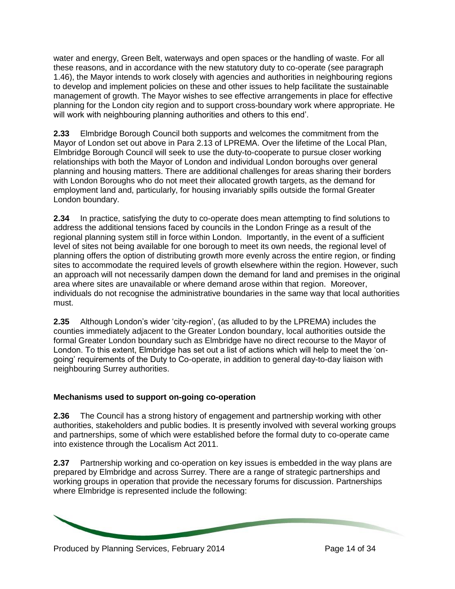water and energy, Green Belt, waterways and open spaces or the handling of waste. For all these reasons, and in accordance with the new statutory duty to co-operate (see paragraph 1.46), the Mayor intends to work closely with agencies and authorities in neighbouring regions to develop and implement policies on these and other issues to help facilitate the sustainable management of growth. The Mayor wishes to see effective arrangements in place for effective planning for the London city region and to support cross-boundary work where appropriate. He will work with neighbouring planning authorities and others to this end'.

**2.33** Elmbridge Borough Council both supports and welcomes the commitment from the Mayor of London set out above in Para 2.13 of LPREMA. Over the lifetime of the Local Plan, Elmbridge Borough Council will seek to use the duty-to-cooperate to pursue closer working relationships with both the Mayor of London and individual London boroughs over general planning and housing matters. There are additional challenges for areas sharing their borders with London Boroughs who do not meet their allocated growth targets, as the demand for employment land and, particularly, for housing invariably spills outside the formal Greater London boundary.

**2.34** In practice, satisfying the duty to co-operate does mean attempting to find solutions to address the additional tensions faced by councils in the London Fringe as a result of the regional planning system still in force within London. Importantly, in the event of a sufficient level of sites not being available for one borough to meet its own needs, the regional level of planning offers the option of distributing growth more evenly across the entire region, or finding sites to accommodate the required levels of growth elsewhere within the region. However, such an approach will not necessarily dampen down the demand for land and premises in the original area where sites are unavailable or where demand arose within that region. Moreover, individuals do not recognise the administrative boundaries in the same way that local authorities must.

**2.35** Although London's wider 'city-region', (as alluded to by the LPREMA) includes the counties immediately adjacent to the Greater London boundary, local authorities outside the formal Greater London boundary such as Elmbridge have no direct recourse to the Mayor of London. To this extent, Elmbridge has set out a list of actions which will help to meet the 'ongoing' requirements of the Duty to Co-operate, in addition to general day-to-day liaison with neighbouring Surrey authorities.

## **Mechanisms used to support on-going co-operation**

**2.36** The Council has a strong history of engagement and partnership working with other authorities, stakeholders and public bodies. It is presently involved with several working groups and partnerships, some of which were established before the formal duty to co-operate came into existence through the Localism Act 2011.

**2.37** Partnership working and co-operation on key issues is embedded in the way plans are prepared by Elmbridge and across Surrey. There are a range of strategic partnerships and working groups in operation that provide the necessary forums for discussion. Partnerships where Elmbridge is represented include the following:

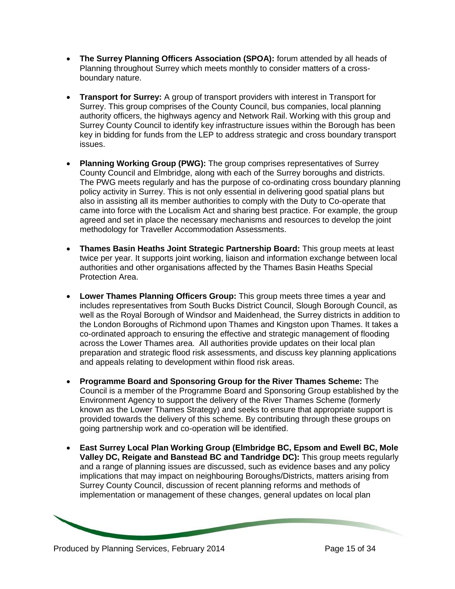- **The Surrey Planning Officers Association (SPOA):** forum attended by all heads of Planning throughout Surrey which meets monthly to consider matters of a crossboundary nature.
- **Transport for Surrey:** A group of transport providers with interest in Transport for Surrey. This group comprises of the County Council, bus companies, local planning authority officers, the highways agency and Network Rail. Working with this group and Surrey County Council to identify key infrastructure issues within the Borough has been key in bidding for funds from the LEP to address strategic and cross boundary transport issues.
- **Planning Working Group (PWG):** The group comprises representatives of Surrey County Council and Elmbridge, along with each of the Surrey boroughs and districts. The PWG meets regularly and has the purpose of co-ordinating cross boundary planning policy activity in Surrey. This is not only essential in delivering good spatial plans but also in assisting all its member authorities to comply with the Duty to Co-operate that came into force with the Localism Act and sharing best practice. For example, the group agreed and set in place the necessary mechanisms and resources to develop the joint methodology for Traveller Accommodation Assessments.
- **Thames Basin Heaths Joint Strategic Partnership Board:** This group meets at least twice per year. It supports joint working, liaison and information exchange between local authorities and other organisations affected by the Thames Basin Heaths Special Protection Area.
- **Lower Thames Planning Officers Group:** This group meets three times a year and includes representatives from South Bucks District Council, Slough Borough Council, as well as the Royal Borough of Windsor and Maidenhead, the Surrey districts in addition to the London Boroughs of Richmond upon Thames and Kingston upon Thames. It takes a co-ordinated approach to ensuring the effective and strategic management of flooding across the Lower Thames area. All authorities provide updates on their local plan preparation and strategic flood risk assessments, and discuss key planning applications and appeals relating to development within flood risk areas.
- **Programme Board and Sponsoring Group for the River Thames Scheme:** The Council is a member of the Programme Board and Sponsoring Group established by the Environment Agency to support the delivery of the River Thames Scheme (formerly known as the Lower Thames Strategy) and seeks to ensure that appropriate support is provided towards the delivery of this scheme. By contributing through these groups on going partnership work and co-operation will be identified.
- **East Surrey Local Plan Working Group (Elmbridge BC, Epsom and Ewell BC, Mole Valley DC, Reigate and Banstead BC and Tandridge DC):** This group meets regularly and a range of planning issues are discussed, such as evidence bases and any policy implications that may impact on neighbouring Boroughs/Districts, matters arising from Surrey County Council, discussion of recent planning reforms and methods of implementation or management of these changes, general updates on local plan

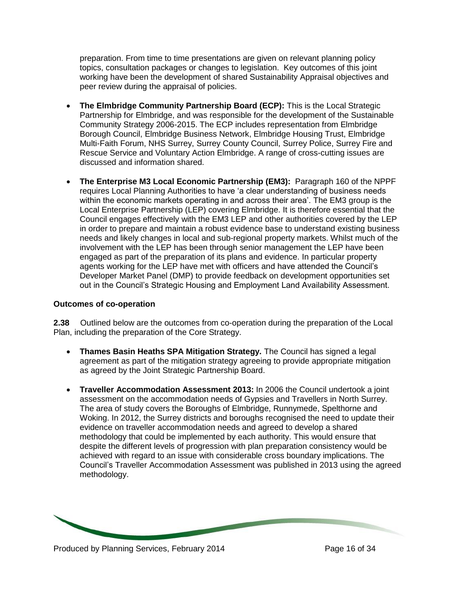preparation. From time to time presentations are given on relevant planning policy topics, consultation packages or changes to legislation. Key outcomes of this joint working have been the development of shared Sustainability Appraisal objectives and peer review during the appraisal of policies.

- **The Elmbridge Community Partnership Board (ECP):** This is the Local Strategic Partnership for Elmbridge, and was responsible for the development of the Sustainable Community Strategy 2006-2015. The ECP includes representation from Elmbridge Borough Council, Elmbridge Business Network, Elmbridge Housing Trust, Elmbridge Multi-Faith Forum, NHS Surrey, Surrey County Council, Surrey Police, Surrey Fire and Rescue Service and Voluntary Action Elmbridge. A range of cross-cutting issues are discussed and information shared.
- **The Enterprise M3 Local Economic Partnership (EM3):** Paragraph 160 of the NPPF requires Local Planning Authorities to have 'a clear understanding of business needs within the economic markets operating in and across their area'. The EM3 group is the Local Enterprise Partnership (LEP) covering Elmbridge. It is therefore essential that the Council engages effectively with the EM3 LEP and other authorities covered by the LEP in order to prepare and maintain a robust evidence base to understand existing business needs and likely changes in local and sub-regional property markets. Whilst much of the involvement with the LEP has been through senior management the LEP have been engaged as part of the preparation of its plans and evidence. In particular property agents working for the LEP have met with officers and have attended the Council's Developer Market Panel (DMP) to provide feedback on development opportunities set out in the Council's Strategic Housing and Employment Land Availability Assessment.

#### **Outcomes of co-operation**

**2.38** Outlined below are the outcomes from co-operation during the preparation of the Local Plan, including the preparation of the Core Strategy.

- **Thames Basin Heaths SPA Mitigation Strategy.** The Council has signed a legal agreement as part of the mitigation strategy agreeing to provide appropriate mitigation as agreed by the Joint Strategic Partnership Board.
- **Traveller Accommodation Assessment 2013:** In 2006 the Council undertook a joint assessment on the accommodation needs of Gypsies and Travellers in North Surrey. The area of study covers the Boroughs of Elmbridge, Runnymede, Spelthorne and Woking. In 2012, the Surrey districts and boroughs recognised the need to update their evidence on traveller accommodation needs and agreed to develop a shared methodology that could be implemented by each authority. This would ensure that despite the different levels of progression with plan preparation consistency would be achieved with regard to an issue with considerable cross boundary implications. The Council's Traveller Accommodation Assessment was published in 2013 using the agreed methodology.

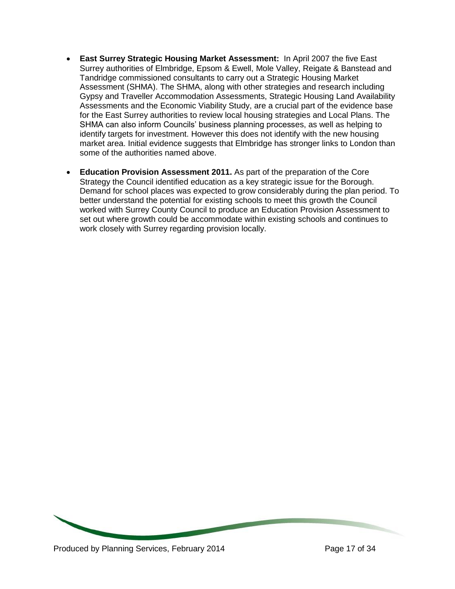- **East Surrey Strategic Housing Market Assessment:** In April 2007 the five East Surrey authorities of Elmbridge, Epsom & Ewell, Mole Valley, Reigate & Banstead and Tandridge commissioned consultants to carry out a Strategic Housing Market Assessment (SHMA). The SHMA, along with other strategies and research including Gypsy and Traveller Accommodation Assessments, Strategic Housing Land Availability Assessments and the Economic Viability Study, are a crucial part of the evidence base for the East Surrey authorities to review local housing strategies and Local Plans. The SHMA can also inform Councils' business planning processes, as well as helping to identify targets for investment. However this does not identify with the new housing market area. Initial evidence suggests that Elmbridge has stronger links to London than some of the authorities named above.
- **Education Provision Assessment 2011.** As part of the preparation of the Core Strategy the Council identified education as a key strategic issue for the Borough. Demand for school places was expected to grow considerably during the plan period. To better understand the potential for existing schools to meet this growth the Council worked with Surrey County Council to produce an Education Provision Assessment to set out where growth could be accommodate within existing schools and continues to work closely with Surrey regarding provision locally.

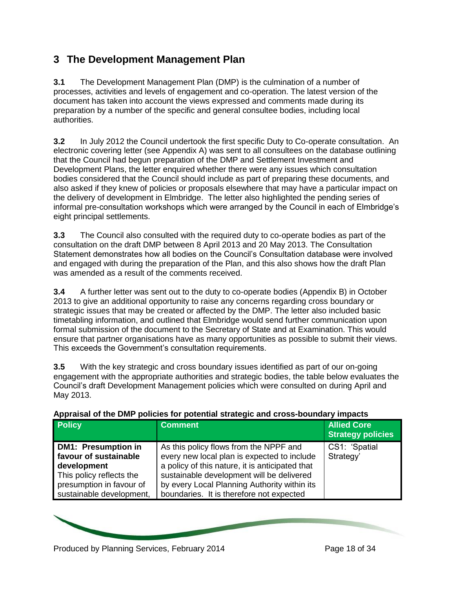# **3 The Development Management Plan**

**3.1** The Development Management Plan (DMP) is the culmination of a number of processes, activities and levels of engagement and co-operation. The latest version of the document has taken into account the views expressed and comments made during its preparation by a number of the specific and general consultee bodies, including local authorities.

**3.2** In July 2012 the Council undertook the first specific Duty to Co-operate consultation. An electronic covering letter (see Appendix A) was sent to all consultees on the database outlining that the Council had begun preparation of the DMP and Settlement Investment and Development Plans, the letter enquired whether there were any issues which consultation bodies considered that the Council should include as part of preparing these documents, and also asked if they knew of policies or proposals elsewhere that may have a particular impact on the delivery of development in Elmbridge. The letter also highlighted the pending series of informal pre-consultation workshops which were arranged by the Council in each of Elmbridge's eight principal settlements.

**3.3** The Council also consulted with the required duty to co-operate bodies as part of the consultation on the draft DMP between 8 April 2013 and 20 May 2013. The Consultation Statement demonstrates how all bodies on the Council's Consultation database were involved and engaged with during the preparation of the Plan, and this also shows how the draft Plan was amended as a result of the comments received.

**3.4** A further letter was sent out to the duty to co-operate bodies (Appendix B) in October 2013 to give an additional opportunity to raise any concerns regarding cross boundary or strategic issues that may be created or affected by the DMP. The letter also included basic timetabling information, and outlined that Elmbridge would send further communication upon formal submission of the document to the Secretary of State and at Examination. This would ensure that partner organisations have as many opportunities as possible to submit their views. This exceeds the Government's consultation requirements.

**3.5** With the key strategic and cross boundary issues identified as part of our on-going engagement with the appropriate authorities and strategic bodies, the table below evaluates the Council's draft Development Management policies which were consulted on during April and May 2013.

| <b>Principal of the Difficulties for potential chategie and cross boardery impacts</b>                                                                 |                                                                                                                                                                                                                                                                                   |                                                |
|--------------------------------------------------------------------------------------------------------------------------------------------------------|-----------------------------------------------------------------------------------------------------------------------------------------------------------------------------------------------------------------------------------------------------------------------------------|------------------------------------------------|
| <b>Policy</b>                                                                                                                                          | <b>Comment</b>                                                                                                                                                                                                                                                                    | <b>Allied Core</b><br><b>Strategy policies</b> |
| <b>DM1: Presumption in</b><br>favour of sustainable<br>development<br>This policy reflects the<br>presumption in favour of<br>sustainable development, | As this policy flows from the NPPF and<br>every new local plan is expected to include<br>a policy of this nature, it is anticipated that<br>sustainable development will be delivered<br>by every Local Planning Authority within its<br>boundaries. It is therefore not expected | CS1: 'Spatial<br>Strategy'                     |

## **Appraisal of the DMP policies for potential strategic and cross-boundary impacts**

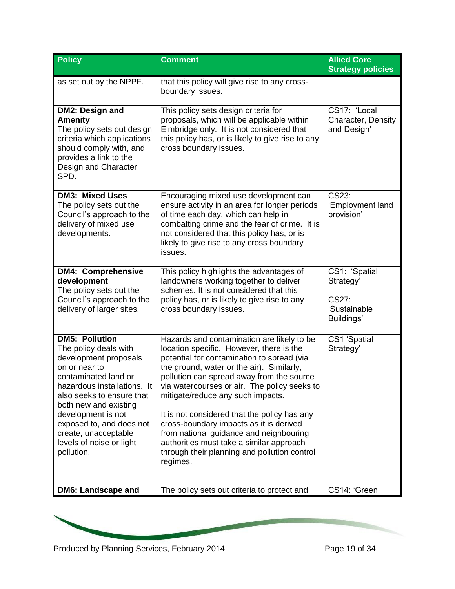| <b>Policy</b>                                                                                                                                                                                                                                                                                                             | <b>Comment</b>                                                                                                                                                                                                                                                                                                                                                                                                                                                                                                                                                    | <b>Allied Core</b><br><b>Strategy policies</b>                    |
|---------------------------------------------------------------------------------------------------------------------------------------------------------------------------------------------------------------------------------------------------------------------------------------------------------------------------|-------------------------------------------------------------------------------------------------------------------------------------------------------------------------------------------------------------------------------------------------------------------------------------------------------------------------------------------------------------------------------------------------------------------------------------------------------------------------------------------------------------------------------------------------------------------|-------------------------------------------------------------------|
| as set out by the NPPF.                                                                                                                                                                                                                                                                                                   | that this policy will give rise to any cross-<br>boundary issues.                                                                                                                                                                                                                                                                                                                                                                                                                                                                                                 |                                                                   |
| DM2: Design and<br><b>Amenity</b><br>The policy sets out design<br>criteria which applications<br>should comply with, and<br>provides a link to the<br>Design and Character<br>SPD.                                                                                                                                       | This policy sets design criteria for<br>proposals, which will be applicable within<br>Elmbridge only. It is not considered that<br>this policy has, or is likely to give rise to any<br>cross boundary issues.                                                                                                                                                                                                                                                                                                                                                    | CS17: 'Local<br>Character, Density<br>and Design'                 |
| <b>DM3: Mixed Uses</b><br>The policy sets out the<br>Council's approach to the<br>delivery of mixed use<br>developments.                                                                                                                                                                                                  | Encouraging mixed use development can<br>ensure activity in an area for longer periods<br>of time each day, which can help in<br>combatting crime and the fear of crime. It is<br>not considered that this policy has, or is<br>likely to give rise to any cross boundary<br>issues.                                                                                                                                                                                                                                                                              | CS23:<br>'Employment land<br>provision'                           |
| <b>DM4: Comprehensive</b><br>development<br>The policy sets out the<br>Council's approach to the<br>delivery of larger sites.                                                                                                                                                                                             | This policy highlights the advantages of<br>landowners working together to deliver<br>schemes. It is not considered that this<br>policy has, or is likely to give rise to any<br>cross boundary issues.                                                                                                                                                                                                                                                                                                                                                           | CS1: 'Spatial<br>Strategy'<br>CS27:<br>'Sustainable<br>Buildings' |
| <b>DM5: Pollution</b><br>The policy deals with<br>development proposals<br>on or near to<br>contaminated land or<br>hazardous installations. It<br>also seeks to ensure that<br>both new and existing<br>development is not<br>exposed to, and does not<br>create, unacceptable<br>levels of noise or light<br>pollution. | Hazards and contamination are likely to be<br>location specific. However, there is the<br>potential for contamination to spread (via<br>the ground, water or the air). Similarly,<br>pollution can spread away from the source<br>via watercourses or air. The policy seeks to<br>mitigate/reduce any such impacts.<br>It is not considered that the policy has any<br>cross-boundary impacts as it is derived<br>from national guidance and neighbouring<br>authorities must take a similar approach<br>through their planning and pollution control<br>regimes. | CS1 'Spatial<br>Strategy'                                         |
| <b>DM6: Landscape and</b>                                                                                                                                                                                                                                                                                                 | The policy sets out criteria to protect and                                                                                                                                                                                                                                                                                                                                                                                                                                                                                                                       | CS14: 'Green                                                      |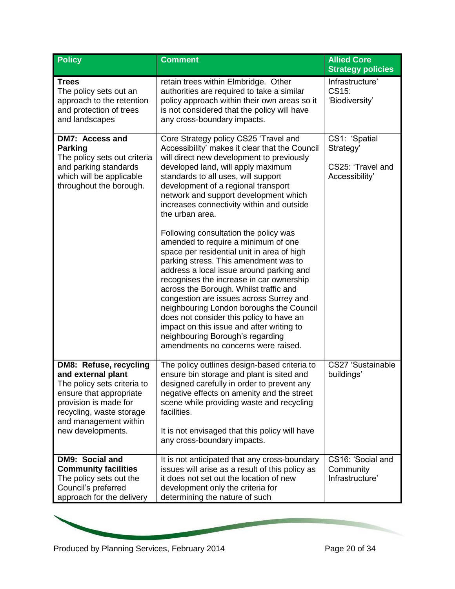| <b>Policy</b>                                                                                                                                                                                             | <b>Comment</b>                                                                                                                                                                                                                                                                                                                                                                                                                                                                                                                                                                                                                                                                                                                                                                                                                                                                                                                        | <b>Allied Core</b><br><b>Strategy policies</b>                    |
|-----------------------------------------------------------------------------------------------------------------------------------------------------------------------------------------------------------|---------------------------------------------------------------------------------------------------------------------------------------------------------------------------------------------------------------------------------------------------------------------------------------------------------------------------------------------------------------------------------------------------------------------------------------------------------------------------------------------------------------------------------------------------------------------------------------------------------------------------------------------------------------------------------------------------------------------------------------------------------------------------------------------------------------------------------------------------------------------------------------------------------------------------------------|-------------------------------------------------------------------|
| <b>Trees</b><br>The policy sets out an<br>approach to the retention<br>and protection of trees<br>and landscapes                                                                                          | retain trees within Elmbridge. Other<br>authorities are required to take a similar<br>policy approach within their own areas so it<br>is not considered that the policy will have<br>any cross-boundary impacts.                                                                                                                                                                                                                                                                                                                                                                                                                                                                                                                                                                                                                                                                                                                      | Infrastructure'<br>CS15:<br>'Biodiversity'                        |
| <b>DM7: Access and</b><br><b>Parking</b><br>The policy sets out criteria<br>and parking standards<br>which will be applicable<br>throughout the borough.                                                  | Core Strategy policy CS25 'Travel and<br>Accessibility' makes it clear that the Council<br>will direct new development to previously<br>developed land, will apply maximum<br>standards to all uses, will support<br>development of a regional transport<br>network and support development which<br>increases connectivity within and outside<br>the urban area.<br>Following consultation the policy was<br>amended to require a minimum of one<br>space per residential unit in area of high<br>parking stress. This amendment was to<br>address a local issue around parking and<br>recognises the increase in car ownership<br>across the Borough. Whilst traffic and<br>congestion are issues across Surrey and<br>neighbouring London boroughs the Council<br>does not consider this policy to have an<br>impact on this issue and after writing to<br>neighbouring Borough's regarding<br>amendments no concerns were raised. | CS1: 'Spatial<br>Strategy'<br>CS25: 'Travel and<br>Accessibility' |
| DM8: Refuse, recycling<br>and external plant<br>The policy sets criteria to<br>ensure that appropriate<br>provision is made for<br>recycling, waste storage<br>and management within<br>new developments. | The policy outlines design-based criteria to<br>ensure bin storage and plant is sited and<br>designed carefully in order to prevent any<br>negative effects on amenity and the street<br>scene while providing waste and recycling<br>facilities.<br>It is not envisaged that this policy will have<br>any cross-boundary impacts.                                                                                                                                                                                                                                                                                                                                                                                                                                                                                                                                                                                                    | CS27 'Sustainable<br>buildings'                                   |
| DM9: Social and<br><b>Community facilities</b><br>The policy sets out the<br>Council's preferred<br>approach for the delivery                                                                             | It is not anticipated that any cross-boundary<br>issues will arise as a result of this policy as<br>it does not set out the location of new<br>development only the criteria for<br>determining the nature of such                                                                                                                                                                                                                                                                                                                                                                                                                                                                                                                                                                                                                                                                                                                    | CS16: 'Social and<br>Community<br>Infrastructure'                 |

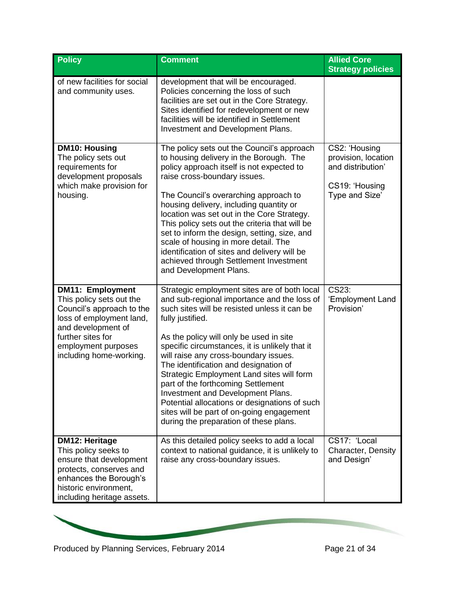| <b>Policy</b>                                                                                                                                                                                             | <b>Comment</b>                                                                                                                                                                                                                                                                                                                                                                                                                                                                                                                                                                                                 | <b>Allied Core</b><br><b>Strategy policies</b>                                                |
|-----------------------------------------------------------------------------------------------------------------------------------------------------------------------------------------------------------|----------------------------------------------------------------------------------------------------------------------------------------------------------------------------------------------------------------------------------------------------------------------------------------------------------------------------------------------------------------------------------------------------------------------------------------------------------------------------------------------------------------------------------------------------------------------------------------------------------------|-----------------------------------------------------------------------------------------------|
| of new facilities for social<br>and community uses.                                                                                                                                                       | development that will be encouraged.<br>Policies concerning the loss of such<br>facilities are set out in the Core Strategy.<br>Sites identified for redevelopment or new<br>facilities will be identified in Settlement<br>Investment and Development Plans.                                                                                                                                                                                                                                                                                                                                                  |                                                                                               |
| <b>DM10: Housing</b><br>The policy sets out<br>requirements for<br>development proposals<br>which make provision for<br>housing.                                                                          | The policy sets out the Council's approach<br>to housing delivery in the Borough. The<br>policy approach itself is not expected to<br>raise cross-boundary issues.<br>The Council's overarching approach to<br>housing delivery, including quantity or<br>location was set out in the Core Strategy.<br>This policy sets out the criteria that will be<br>set to inform the design, setting, size, and<br>scale of housing in more detail. The<br>identification of sites and delivery will be<br>achieved through Settlement Investment<br>and Development Plans.                                             | CS2: 'Housing<br>provision, location<br>and distribution'<br>CS19: 'Housing<br>Type and Size' |
| <b>DM11: Employment</b><br>This policy sets out the<br>Council's approach to the<br>loss of employment land,<br>and development of<br>further sites for<br>employment purposes<br>including home-working. | Strategic employment sites are of both local<br>and sub-regional importance and the loss of<br>such sites will be resisted unless it can be<br>fully justified.<br>As the policy will only be used in site<br>specific circumstances, it is unlikely that it<br>will raise any cross-boundary issues.<br>The identification and designation of<br>Strategic Employment Land sites will form<br>part of the forthcoming Settlement<br>Investment and Development Plans.<br>Potential allocations or designations of such<br>sites will be part of on-going engagement<br>during the preparation of these plans. | CS23:<br>'Employment Land<br>Provision'                                                       |
| <b>DM12: Heritage</b><br>This policy seeks to<br>ensure that development<br>protects, conserves and<br>enhances the Borough's<br>historic environment,<br>including heritage assets.                      | As this detailed policy seeks to add a local<br>context to national guidance, it is unlikely to<br>raise any cross-boundary issues.                                                                                                                                                                                                                                                                                                                                                                                                                                                                            | CS17: 'Local<br>Character, Density<br>and Design'                                             |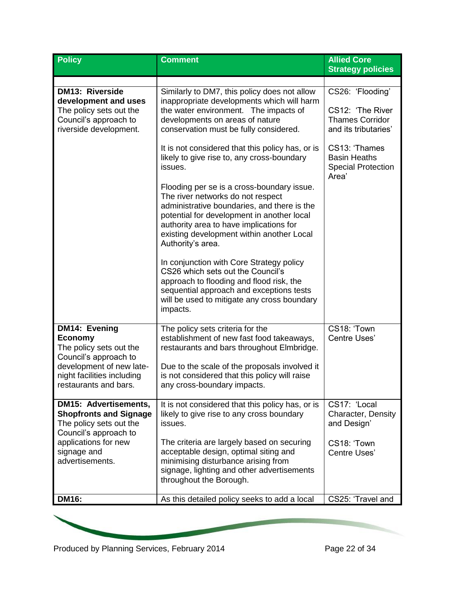| <b>Policy</b>                                                                                                                | <b>Comment</b>                                                                                                                                                                                                                                                                            | <b>Allied Core</b><br><b>Strategy policies</b>                                         |
|------------------------------------------------------------------------------------------------------------------------------|-------------------------------------------------------------------------------------------------------------------------------------------------------------------------------------------------------------------------------------------------------------------------------------------|----------------------------------------------------------------------------------------|
|                                                                                                                              |                                                                                                                                                                                                                                                                                           |                                                                                        |
| <b>DM13: Riverside</b><br>development and uses<br>The policy sets out the<br>Council's approach to<br>riverside development. | Similarly to DM7, this policy does not allow<br>inappropriate developments which will harm<br>the water environment. The impacts of<br>developments on areas of nature<br>conservation must be fully considered.                                                                          | CS26: 'Flooding'<br>CS12: 'The River<br><b>Thames Corridor</b><br>and its tributaries' |
|                                                                                                                              | It is not considered that this policy has, or is<br>likely to give rise to, any cross-boundary<br>issues.                                                                                                                                                                                 | CS13: 'Thames<br><b>Basin Heaths</b><br><b>Special Protection</b><br>Area'             |
|                                                                                                                              | Flooding per se is a cross-boundary issue.<br>The river networks do not respect<br>administrative boundaries, and there is the<br>potential for development in another local<br>authority area to have implications for<br>existing development within another Local<br>Authority's area. |                                                                                        |
|                                                                                                                              | In conjunction with Core Strategy policy<br>CS26 which sets out the Council's<br>approach to flooding and flood risk, the<br>sequential approach and exceptions tests<br>will be used to mitigate any cross boundary<br>impacts.                                                          |                                                                                        |
| DM14: Evening<br>Economy<br>The policy sets out the<br>Council's approach to                                                 | The policy sets criteria for the<br>establishment of new fast food takeaways,<br>restaurants and bars throughout Elmbridge.                                                                                                                                                               | CS18: 'Town<br>Centre Uses'                                                            |
| development of new late-<br>night facilities including<br>restaurants and bars.                                              | Due to the scale of the proposals involved it<br>is not considered that this policy will raise<br>any cross-boundary impacts.                                                                                                                                                             |                                                                                        |
| <b>DM15: Advertisements,</b><br><b>Shopfronts and Signage</b><br>The policy sets out the<br>Council's approach to            | It is not considered that this policy has, or is<br>likely to give rise to any cross boundary<br>issues.                                                                                                                                                                                  | CS17: 'Local<br>Character, Density<br>and Design'                                      |
| applications for new<br>signage and<br>advertisements.                                                                       | The criteria are largely based on securing<br>acceptable design, optimal siting and<br>minimising disturbance arising from<br>signage, lighting and other advertisements<br>throughout the Borough.                                                                                       | CS18: 'Town<br>Centre Uses'                                                            |
| <b>DM16:</b>                                                                                                                 | As this detailed policy seeks to add a local                                                                                                                                                                                                                                              | CS25: 'Travel and                                                                      |

Produced by Planning Services, February 2014 Page 22 of 34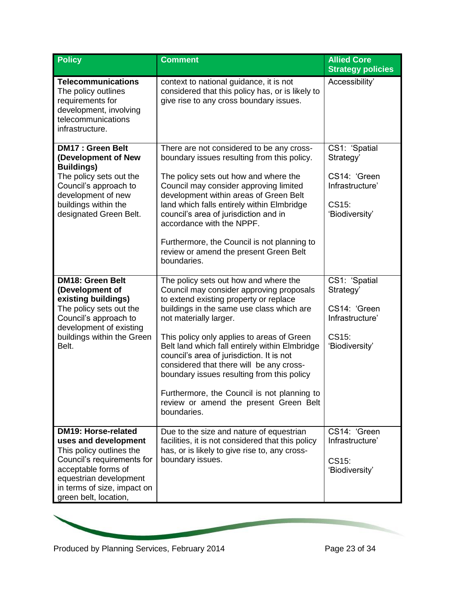| <b>Policy</b>                                                                                                                                                                                                         | <b>Comment</b>                                                                                                                                                                                                                                                                                                                                                                                                                                                                                                                                    | <b>Allied Core</b><br><b>Strategy policies</b>                                           |
|-----------------------------------------------------------------------------------------------------------------------------------------------------------------------------------------------------------------------|---------------------------------------------------------------------------------------------------------------------------------------------------------------------------------------------------------------------------------------------------------------------------------------------------------------------------------------------------------------------------------------------------------------------------------------------------------------------------------------------------------------------------------------------------|------------------------------------------------------------------------------------------|
| <b>Telecommunications</b><br>The policy outlines<br>requirements for<br>development, involving<br>telecommunications<br>infrastructure.                                                                               | context to national guidance, it is not<br>considered that this policy has, or is likely to<br>give rise to any cross boundary issues.                                                                                                                                                                                                                                                                                                                                                                                                            | Accessibility'                                                                           |
| <b>DM17: Green Belt</b><br>(Development of New<br><b>Buildings)</b><br>The policy sets out the<br>Council's approach to<br>development of new<br>buildings within the<br>designated Green Belt.                       | There are not considered to be any cross-<br>boundary issues resulting from this policy.<br>The policy sets out how and where the<br>Council may consider approving limited<br>development within areas of Green Belt<br>land which falls entirely within Elmbridge<br>council's area of jurisdiction and in<br>accordance with the NPPF.<br>Furthermore, the Council is not planning to<br>review or amend the present Green Belt<br>boundaries.                                                                                                 | CS1: 'Spatial<br>Strategy'<br>CS14: 'Green<br>Infrastructure'<br>CS15:<br>'Biodiversity' |
| <b>DM18: Green Belt</b><br>(Development of<br>existing buildings)<br>The policy sets out the<br>Council's approach to<br>development of existing<br>buildings within the Green<br>Belt.                               | The policy sets out how and where the<br>Council may consider approving proposals<br>to extend existing property or replace<br>buildings in the same use class which are<br>not materially larger.<br>This policy only applies to areas of Green<br>Belt land which fall entirely within Elmbridge<br>council's area of jurisdiction. It is not<br>considered that there will be any cross-<br>boundary issues resulting from this policy<br>Furthermore, the Council is not planning to<br>review or amend the present Green Belt<br>boundaries. | CS1: 'Spatial<br>Strategy'<br>CS14: 'Green<br>Infrastructure'<br>CS15:<br>'Biodiversity' |
| <b>DM19: Horse-related</b><br>uses and development<br>This policy outlines the<br>Council's requirements for<br>acceptable forms of<br>equestrian development<br>in terms of size, impact on<br>green belt, location, | Due to the size and nature of equestrian<br>facilities, it is not considered that this policy<br>has, or is likely to give rise to, any cross-<br>boundary issues.                                                                                                                                                                                                                                                                                                                                                                                | CS14: 'Green<br>Infrastructure'<br>CS15:<br>'Biodiversity'                               |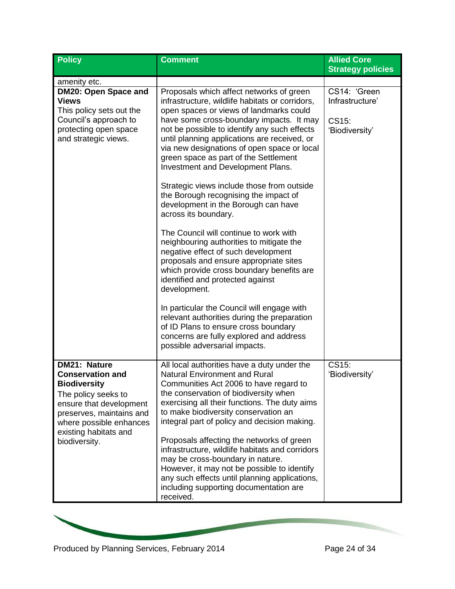| <b>Policy</b>                                                                                                                                                                                           | <b>Comment</b>                                                                                                                                                                                                                                                                                                                                                                                                  | <b>Allied Core</b><br><b>Strategy policies</b>             |
|---------------------------------------------------------------------------------------------------------------------------------------------------------------------------------------------------------|-----------------------------------------------------------------------------------------------------------------------------------------------------------------------------------------------------------------------------------------------------------------------------------------------------------------------------------------------------------------------------------------------------------------|------------------------------------------------------------|
| amenity etc.                                                                                                                                                                                            |                                                                                                                                                                                                                                                                                                                                                                                                                 |                                                            |
| DM20: Open Space and<br><b>Views</b><br>This policy sets out the<br>Council's approach to<br>protecting open space<br>and strategic views.                                                              | Proposals which affect networks of green<br>infrastructure, wildlife habitats or corridors,<br>open spaces or views of landmarks could<br>have some cross-boundary impacts. It may<br>not be possible to identify any such effects<br>until planning applications are received, or<br>via new designations of open space or local<br>green space as part of the Settlement<br>Investment and Development Plans. | CS14: 'Green<br>Infrastructure'<br>CS15:<br>'Biodiversity' |
|                                                                                                                                                                                                         | Strategic views include those from outside<br>the Borough recognising the impact of<br>development in the Borough can have<br>across its boundary.                                                                                                                                                                                                                                                              |                                                            |
|                                                                                                                                                                                                         | The Council will continue to work with<br>neighbouring authorities to mitigate the<br>negative effect of such development<br>proposals and ensure appropriate sites<br>which provide cross boundary benefits are<br>identified and protected against<br>development.                                                                                                                                            |                                                            |
|                                                                                                                                                                                                         | In particular the Council will engage with<br>relevant authorities during the preparation<br>of ID Plans to ensure cross boundary<br>concerns are fully explored and address<br>possible adversarial impacts.                                                                                                                                                                                                   |                                                            |
| <b>DM21: Nature</b><br><b>Conservation and</b><br><b>Biodiversity</b><br>The policy seeks to<br>ensure that development<br>preserves, maintains and<br>where possible enhances<br>existing habitats and | All local authorities have a duty under the<br><b>Natural Environment and Rural</b><br>Communities Act 2006 to have regard to<br>the conservation of biodiversity when<br>exercising all their functions. The duty aims<br>to make biodiversity conservation an<br>integral part of policy and decision making.                                                                                                 | CS15:<br>'Biodiversity'                                    |
| biodiversity.                                                                                                                                                                                           | Proposals affecting the networks of green<br>infrastructure, wildlife habitats and corridors<br>may be cross-boundary in nature.<br>However, it may not be possible to identify<br>any such effects until planning applications,<br>including supporting documentation are<br>received.                                                                                                                         |                                                            |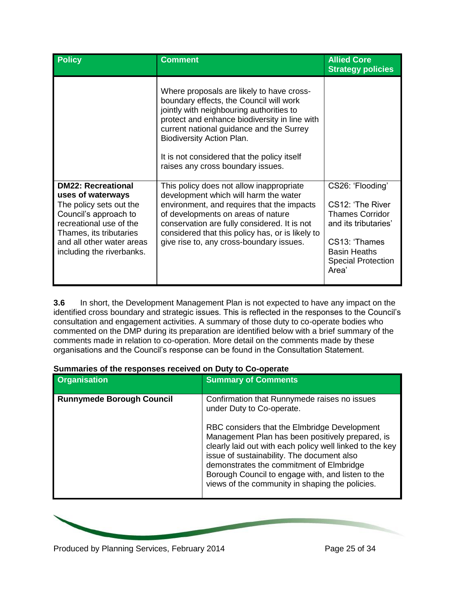| <b>Policy</b>                                                                                                                                                                                                      | <b>Comment</b>                                                                                                                                                                                                                                                                                                                                 | <b>Allied Core</b><br><b>Strategy policies</b>                                                                                                                       |
|--------------------------------------------------------------------------------------------------------------------------------------------------------------------------------------------------------------------|------------------------------------------------------------------------------------------------------------------------------------------------------------------------------------------------------------------------------------------------------------------------------------------------------------------------------------------------|----------------------------------------------------------------------------------------------------------------------------------------------------------------------|
|                                                                                                                                                                                                                    | Where proposals are likely to have cross-<br>boundary effects, the Council will work<br>jointly with neighbouring authorities to<br>protect and enhance biodiversity in line with<br>current national guidance and the Surrey<br>Biodiversity Action Plan.<br>It is not considered that the policy itself<br>raises any cross boundary issues. |                                                                                                                                                                      |
| <b>DM22: Recreational</b><br>uses of waterways<br>The policy sets out the<br>Council's approach to<br>recreational use of the<br>Thames, its tributaries<br>and all other water areas<br>including the riverbanks. | This policy does not allow inappropriate<br>development which will harm the water<br>environment, and requires that the impacts<br>of developments on areas of nature<br>conservation are fully considered. It is not<br>considered that this policy has, or is likely to<br>give rise to, any cross-boundary issues.                          | CS26: 'Flooding'<br>CS12: 'The River<br><b>Thames Corridor</b><br>and its tributaries'<br>CS13: 'Thames<br><b>Basin Heaths</b><br><b>Special Protection</b><br>Area' |

**3.6** In short, the Development Management Plan is not expected to have any impact on the identified cross boundary and strategic issues. This is reflected in the responses to the Council's consultation and engagement activities. A summary of those duty to co-operate bodies who commented on the DMP during its preparation are identified below with a brief summary of the comments made in relation to co-operation. More detail on the comments made by these organisations and the Council's response can be found in the Consultation Statement.

| <b>Organisation</b>              | <b>Summary of Comments</b>                                                                                                                                                                                                                                                                                                                                     |
|----------------------------------|----------------------------------------------------------------------------------------------------------------------------------------------------------------------------------------------------------------------------------------------------------------------------------------------------------------------------------------------------------------|
| <b>Runnymede Borough Council</b> | Confirmation that Runnymede raises no issues<br>under Duty to Co-operate.                                                                                                                                                                                                                                                                                      |
|                                  | RBC considers that the Elmbridge Development<br>Management Plan has been positively prepared, is<br>clearly laid out with each policy well linked to the key<br>issue of sustainability. The document also<br>demonstrates the commitment of Elmbridge<br>Borough Council to engage with, and listen to the<br>views of the community in shaping the policies. |

# **Summaries of the responses received on Duty to Co-operate**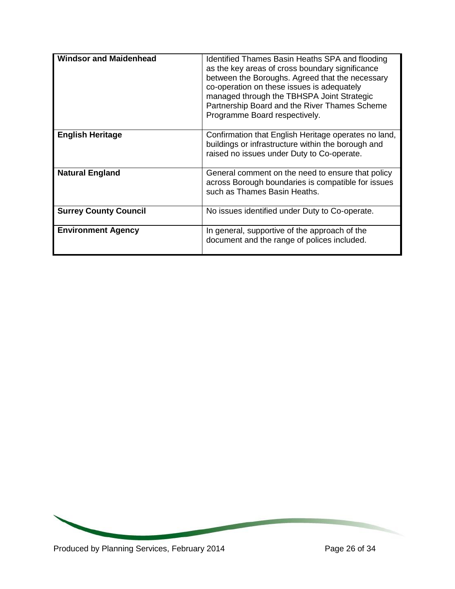| <b>Windsor and Maidenhead</b> | Identified Thames Basin Heaths SPA and flooding<br>as the key areas of cross boundary significance<br>between the Boroughs. Agreed that the necessary<br>co-operation on these issues is adequately<br>managed through the TBHSPA Joint Strategic<br>Partnership Board and the River Thames Scheme<br>Programme Board respectively. |
|-------------------------------|-------------------------------------------------------------------------------------------------------------------------------------------------------------------------------------------------------------------------------------------------------------------------------------------------------------------------------------|
| <b>English Heritage</b>       | Confirmation that English Heritage operates no land,<br>buildings or infrastructure within the borough and<br>raised no issues under Duty to Co-operate.                                                                                                                                                                            |
| <b>Natural England</b>        | General comment on the need to ensure that policy<br>across Borough boundaries is compatible for issues<br>such as Thames Basin Heaths.                                                                                                                                                                                             |
| <b>Surrey County Council</b>  | No issues identified under Duty to Co-operate.                                                                                                                                                                                                                                                                                      |
| <b>Environment Agency</b>     | In general, supportive of the approach of the<br>document and the range of polices included.                                                                                                                                                                                                                                        |

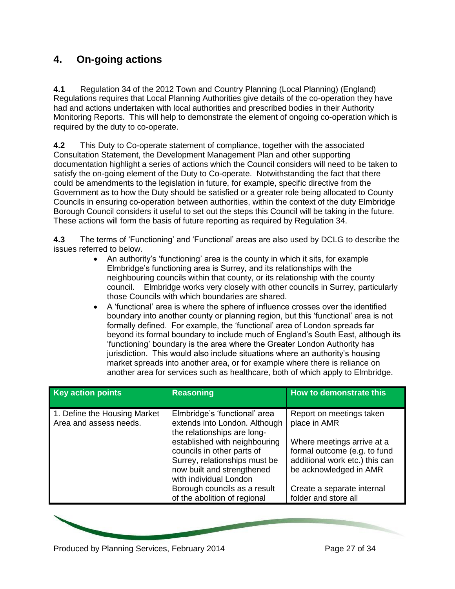# **4. On-going actions**

**4.1** Regulation 34 of the 2012 Town and Country Planning (Local Planning) (England) Regulations requires that Local Planning Authorities give details of the co-operation they have had and actions undertaken with local authorities and prescribed bodies in their Authority Monitoring Reports. This will help to demonstrate the element of ongoing co-operation which is required by the duty to co-operate.

**4.2** This Duty to Co-operate statement of compliance, together with the associated Consultation Statement, the Development Management Plan and other supporting documentation highlight a series of actions which the Council considers will need to be taken to satisfy the on-going element of the Duty to Co-operate. Notwithstanding the fact that there could be amendments to the legislation in future, for example, specific directive from the Government as to how the Duty should be satisfied or a greater role being allocated to County Councils in ensuring co-operation between authorities, within the context of the duty Elmbridge Borough Council considers it useful to set out the steps this Council will be taking in the future. These actions will form the basis of future reporting as required by Regulation 34.

**4.3** The terms of 'Functioning' and 'Functional' areas are also used by DCLG to describe the issues referred to below.

- An authority's 'functioning' area is the county in which it sits, for example Elmbridge's functioning area is Surrey, and its relationships with the neighbouring councils within that county, or its relationship with the county council. Elmbridge works very closely with other councils in Surrey, particularly those Councils with which boundaries are shared.
- A 'functional' area is where the sphere of influence crosses over the identified boundary into another county or planning region, but this 'functional' area is not formally defined. For example, the 'functional' area of London spreads far beyond its formal boundary to include much of England's South East, although its 'functioning' boundary is the area where the Greater London Authority has jurisdiction. This would also include situations where an authority's housing market spreads into another area, or for example where there is reliance on another area for services such as healthcare, both of which apply to Elmbridge.

| <b>Key action points</b>                               | <b>Reasoning</b>                                                                                                                                                                                                                                      | How to demonstrate this                                                                                                                                            |
|--------------------------------------------------------|-------------------------------------------------------------------------------------------------------------------------------------------------------------------------------------------------------------------------------------------------------|--------------------------------------------------------------------------------------------------------------------------------------------------------------------|
| 1. Define the Housing Market<br>Area and assess needs. | Elmbridge's 'functional' area<br>extends into London. Although<br>the relationships are long-<br>established with neighbouring<br>councils in other parts of<br>Surrey, relationships must be<br>now built and strengthened<br>with individual London | Report on meetings taken<br>place in AMR<br>Where meetings arrive at a<br>formal outcome (e.g. to fund<br>additional work etc.) this can<br>be acknowledged in AMR |
|                                                        | Borough councils as a result<br>of the abolition of regional                                                                                                                                                                                          | Create a separate internal<br>folder and store all                                                                                                                 |

Produced by Planning Services, February 2014 Produced by Page 27 of 34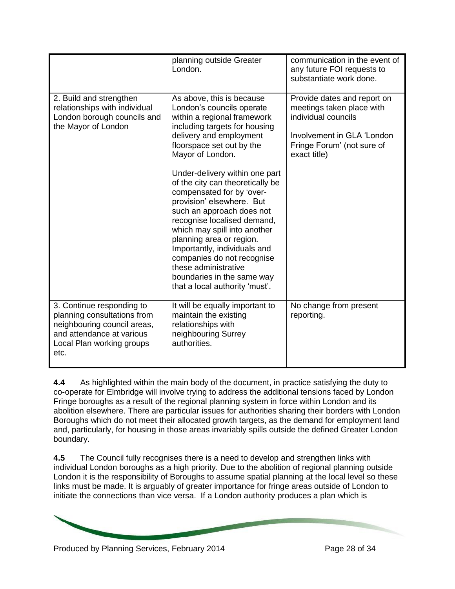|                                                                                                                                                           | planning outside Greater<br>London.                                                                                                                                                                                                                                                                                                                                                                                                                                                                                                                                                                              | communication in the event of<br>any future FOI requests to<br>substantiate work done.                                                                      |
|-----------------------------------------------------------------------------------------------------------------------------------------------------------|------------------------------------------------------------------------------------------------------------------------------------------------------------------------------------------------------------------------------------------------------------------------------------------------------------------------------------------------------------------------------------------------------------------------------------------------------------------------------------------------------------------------------------------------------------------------------------------------------------------|-------------------------------------------------------------------------------------------------------------------------------------------------------------|
| 2. Build and strengthen<br>relationships with individual<br>London borough councils and<br>the Mayor of London                                            | As above, this is because<br>London's councils operate<br>within a regional framework<br>including targets for housing<br>delivery and employment<br>floorspace set out by the<br>Mayor of London.<br>Under-delivery within one part<br>of the city can theoretically be<br>compensated for by 'over-<br>provision' elsewhere. But<br>such an approach does not<br>recognise localised demand,<br>which may spill into another<br>planning area or region.<br>Importantly, individuals and<br>companies do not recognise<br>these administrative<br>boundaries in the same way<br>that a local authority 'must'. | Provide dates and report on<br>meetings taken place with<br>individual councils<br>Involvement in GLA 'London<br>Fringe Forum' (not sure of<br>exact title) |
| 3. Continue responding to<br>planning consultations from<br>neighbouring council areas,<br>and attendance at various<br>Local Plan working groups<br>etc. | It will be equally important to<br>maintain the existing<br>relationships with<br>neighbouring Surrey<br>authorities.                                                                                                                                                                                                                                                                                                                                                                                                                                                                                            | No change from present<br>reporting.                                                                                                                        |

**4.4** As highlighted within the main body of the document, in practice satisfying the duty to co-operate for Elmbridge will involve trying to address the additional tensions faced by London Fringe boroughs as a result of the regional planning system in force within London and its abolition elsewhere. There are particular issues for authorities sharing their borders with London Boroughs which do not meet their allocated growth targets, as the demand for employment land and, particularly, for housing in those areas invariably spills outside the defined Greater London boundary.

**4.5** The Council fully recognises there is a need to develop and strengthen links with individual London boroughs as a high priority. Due to the abolition of regional planning outside London it is the responsibility of Boroughs to assume spatial planning at the local level so these links must be made. It is arguably of greater importance for fringe areas outside of London to initiate the connections than vice versa. If a London authority produces a plan which is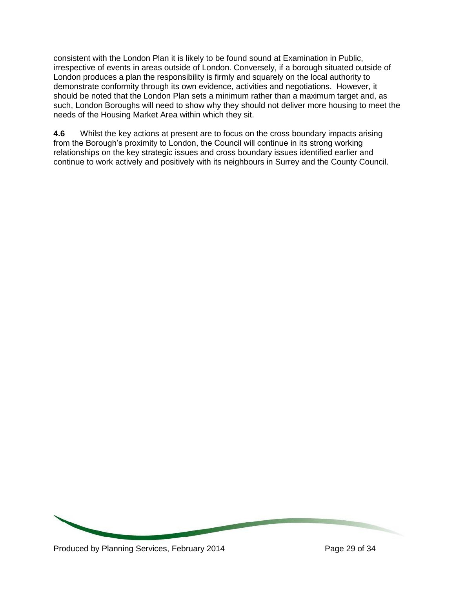consistent with the London Plan it is likely to be found sound at Examination in Public, irrespective of events in areas outside of London. Conversely, if a borough situated outside of London produces a plan the responsibility is firmly and squarely on the local authority to demonstrate conformity through its own evidence, activities and negotiations. However, it should be noted that the London Plan sets a minimum rather than a maximum target and, as such, London Boroughs will need to show why they should not deliver more housing to meet the needs of the Housing Market Area within which they sit.

**4.6** Whilst the key actions at present are to focus on the cross boundary impacts arising from the Borough's proximity to London, the Council will continue in its strong working relationships on the key strategic issues and cross boundary issues identified earlier and continue to work actively and positively with its neighbours in Surrey and the County Council.

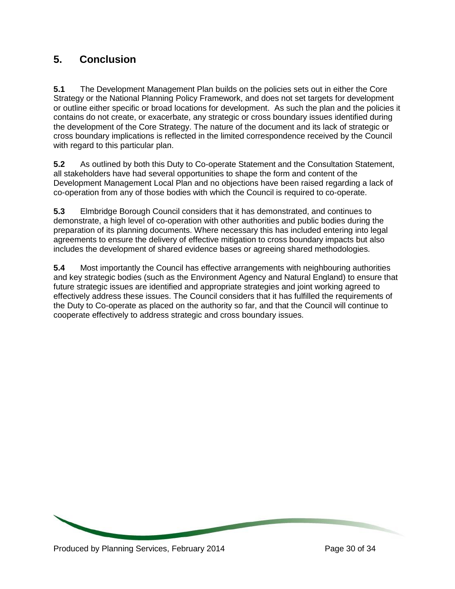# **5. Conclusion**

**5.1** The Development Management Plan builds on the policies sets out in either the Core Strategy or the National Planning Policy Framework, and does not set targets for development or outline either specific or broad locations for development. As such the plan and the policies it contains do not create, or exacerbate, any strategic or cross boundary issues identified during the development of the Core Strategy. The nature of the document and its lack of strategic or cross boundary implications is reflected in the limited correspondence received by the Council with regard to this particular plan.

**5.2** As outlined by both this Duty to Co-operate Statement and the Consultation Statement, all stakeholders have had several opportunities to shape the form and content of the Development Management Local Plan and no objections have been raised regarding a lack of co-operation from any of those bodies with which the Council is required to co-operate.

**5.3** Elmbridge Borough Council considers that it has demonstrated, and continues to demonstrate, a high level of co-operation with other authorities and public bodies during the preparation of its planning documents. Where necessary this has included entering into legal agreements to ensure the delivery of effective mitigation to cross boundary impacts but also includes the development of shared evidence bases or agreeing shared methodologies.

**5.4** Most importantly the Council has effective arrangements with neighbouring authorities and key strategic bodies (such as the Environment Agency and Natural England) to ensure that future strategic issues are identified and appropriate strategies and joint working agreed to effectively address these issues. The Council considers that it has fulfilled the requirements of the Duty to Co-operate as placed on the authority so far, and that the Council will continue to cooperate effectively to address strategic and cross boundary issues.

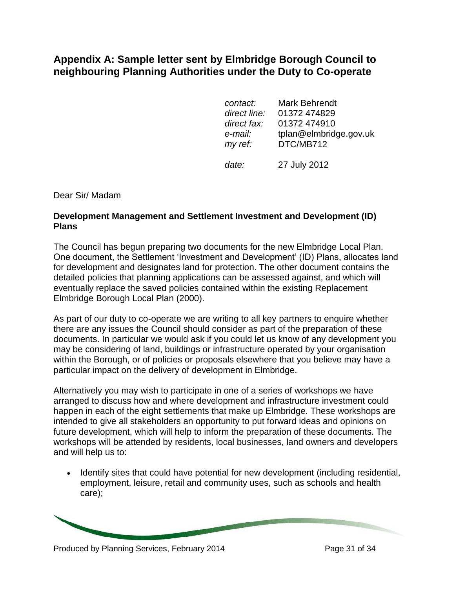# **Appendix A: Sample letter sent by Elmbridge Borough Council to neighbouring Planning Authorities under the Duty to Co-operate**

| contact:     | <b>Mark Behrendt</b>   |
|--------------|------------------------|
| direct line: | 01372 474829           |
| direct fax:  | 01372 474910           |
| e-mail:      | tplan@elmbridge.gov.uk |
| my ref:      | DTC/MB712              |
| date:        | 27 July 2012           |

Dear Sir/ Madam

## **Development Management and Settlement Investment and Development (ID) Plans**

The Council has begun preparing two documents for the new Elmbridge Local Plan. One document, the Settlement 'Investment and Development' (ID) Plans, allocates land for development and designates land for protection. The other document contains the detailed policies that planning applications can be assessed against, and which will eventually replace the saved policies contained within the existing Replacement Elmbridge Borough Local Plan (2000).

As part of our duty to co-operate we are writing to all key partners to enquire whether there are any issues the Council should consider as part of the preparation of these documents. In particular we would ask if you could let us know of any development you may be considering of land, buildings or infrastructure operated by your organisation within the Borough, or of policies or proposals elsewhere that you believe may have a particular impact on the delivery of development in Elmbridge.

Alternatively you may wish to participate in one of a series of workshops we have arranged to discuss how and where development and infrastructure investment could happen in each of the eight settlements that make up Elmbridge. These workshops are intended to give all stakeholders an opportunity to put forward ideas and opinions on future development, which will help to inform the preparation of these documents. The workshops will be attended by residents, local businesses, land owners and developers and will help us to:

• Identify sites that could have potential for new development (including residential, employment, leisure, retail and community uses, such as schools and health care);

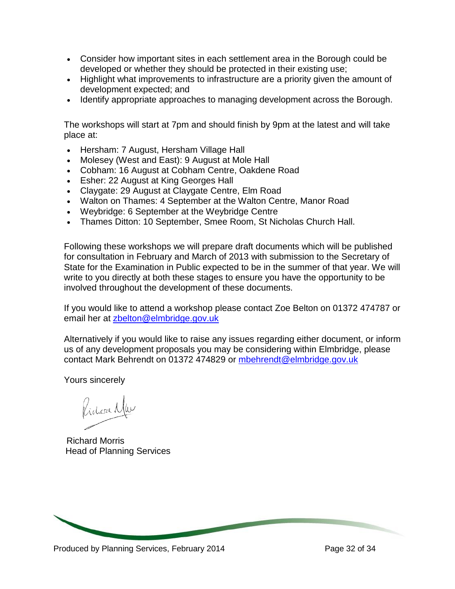- Consider how important sites in each settlement area in the Borough could be developed or whether they should be protected in their existing use;
- Highlight what improvements to infrastructure are a priority given the amount of development expected; and
- Identify appropriate approaches to managing development across the Borough.

The workshops will start at 7pm and should finish by 9pm at the latest and will take place at:

- Hersham: 7 August, Hersham Village Hall
- Molesey (West and East): 9 August at Mole Hall
- Cobham: 16 August at Cobham Centre, Oakdene Road
- **Esher: 22 August at King Georges Hall**
- Claygate: 29 August at Claygate Centre, Elm Road
- Walton on Thames: 4 September at the Walton Centre, Manor Road
- Weybridge: 6 September at the Weybridge Centre
- Thames Ditton: 10 September, Smee Room, St Nicholas Church Hall.

Following these workshops we will prepare draft documents which will be published for consultation in February and March of 2013 with submission to the Secretary of State for the Examination in Public expected to be in the summer of that year. We will write to you directly at both these stages to ensure you have the opportunity to be involved throughout the development of these documents.

If you would like to attend a workshop please contact Zoe Belton on 01372 474787 or email her at [zbelton@elmbridge.gov.uk](mailto:tplan@elmbridge.gov.uk)

Alternatively if you would like to raise any issues regarding either document, or inform us of any development proposals you may be considering within Elmbridge, please contact Mark Behrendt on 01372 474829 or [mbehrendt@elmbridge.gov.uk](mailto:mbehrendt@elmbridge.gov.uk)

Yours sincerely

Pidoa Mw

Richard Morris Head of Planning Services

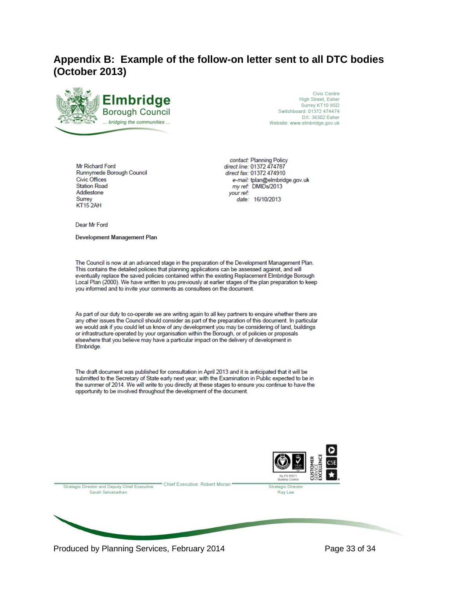# **Appendix B: Example of the follow-on letter sent to all DTC bodies (October 2013)**



**Civic Centre** High Street, Esher Surrey KT10 9SD Switchboard: 01372 474474 DX: 36302 Esher Website: www.elmbridge.gov.uk

Mr Richard Ford Runnymede Borough Council Civic Offices **Station Road** Addlestone Surrey KT152AH

contact: Planning Policy direct line: 01372 474787 direct fax: 01372 474910 e-mail: tplan@elmbridge.gov.uk my ref: DMIDs/2013 your ref: date: 16/10/2013

Dear Mr Ford

**Development Management Plan** 

The Council is now at an advanced stage in the preparation of the Development Management Plan. This contains the detailed policies that planning applications can be assessed against, and will eventually replace the saved policies contained within the existing Replacement Elmbridge Borough Local Plan (2000). We have written to you previously at earlier stages of the plan preparation to keep you informed and to invite your comments as consultees on the document.

As part of our duty to co-operate we are writing again to all key partners to enquire whether there are any other issues the Council should consider as part of the preparation of this document. In particular we would ask if you could let us know of any development you may be considering of land, buildings or infrastructure operated by your organisation within the Borough, or of policies or proposals elsewhere that you believe may have a particular impact on the delivery of development in Elmbridge.

The draft document was published for consultation in April 2013 and it is anticipated that it will be submitted to the Secretary of State early next year, with the Examination in Public expected to be in the summer of 2014. We will write to you directly at these stages to ensure you continue to have the opportunity to be involved throughout the development of the document.



Produced by Planning Services, February 2014 Produced by Page 33 of 34